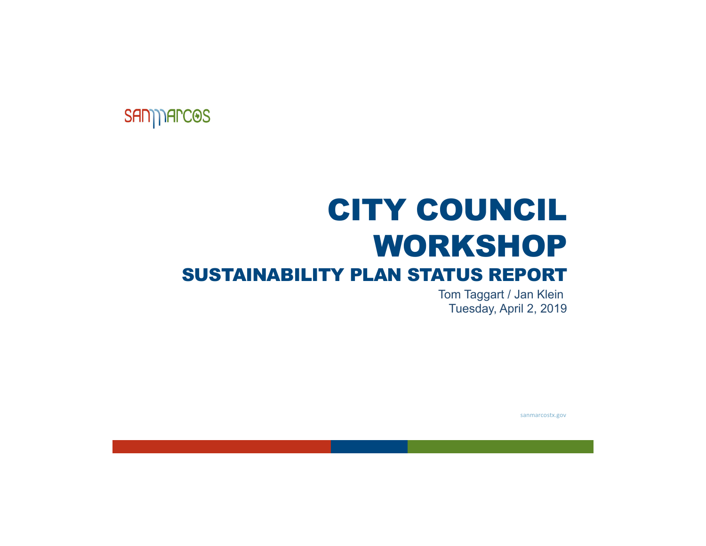### **SAN) AFCOS**

# CITY COUNCILWORKSHOPSUSTAINABILITY PLAN STATUS REPORT

Tom Taggart / Jan Klein Tuesday, April 2, 2019

sanmarcostx.gov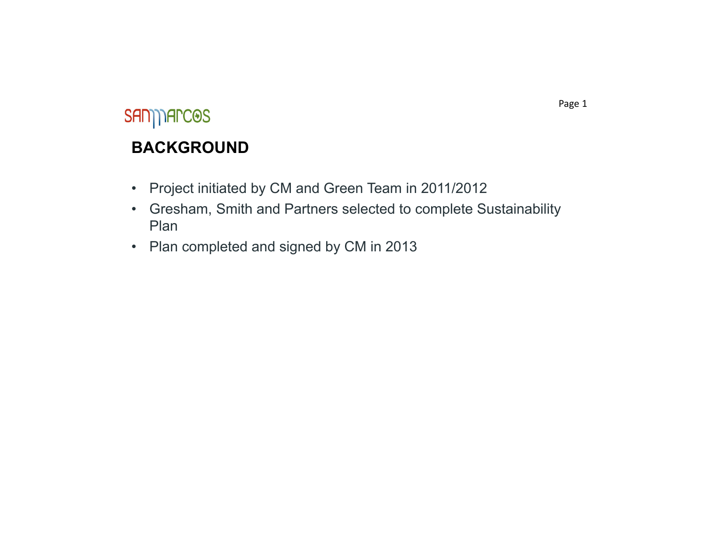### SAN) AFCOS

#### **BACKGROUND**

- •Project initiated by CM and Green Team in 2011/2012
- • Gresham, Smith and Partners selected to complete Sustainability Plan
- Plan completed and signed by CM in 2013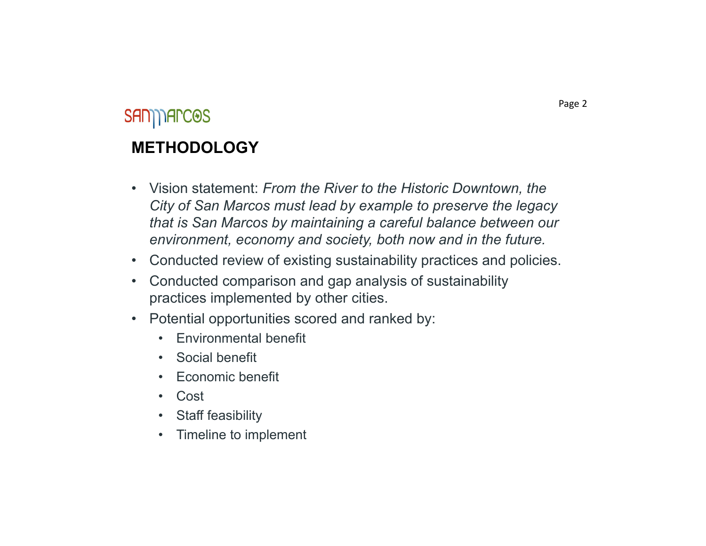### SAN) TAPCOS **METHODOLOGY**

- Vision statement: *From the River to the Historic Downtown, the City of San Marcos must lead by example to preserve the legacy that is San Marcos by maintaining a careful balance between our environment, economy and society, both now and in the future.*
- •Conducted review of existing sustainability practices and policies.
- • Conducted comparison and gap analysis of sustainability practices implemented by other cities.
- • Potential opportunities scored and ranked by:
	- Environmental benefit
	- Social benefit
	- Economic benefit
	- Cost
	- Staff feasibility
	- •Timeline to implement

Page 2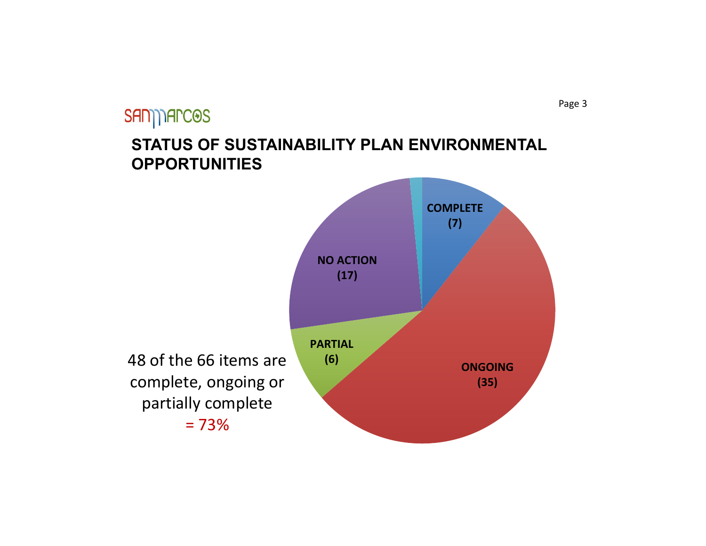### SAN) Arc<sup>OS</sup> **STATUS OF SUSTAINABILITY PLAN ENVIRONMENTAL OPPORTUNITIES**



Page 3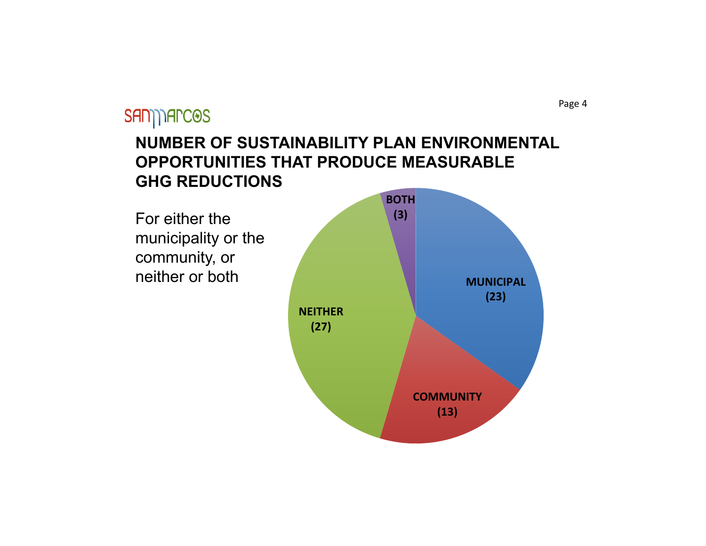#### Page 4

### SAN) Arc<sup>OS</sup>

#### **NUMBER OF SUSTAINABILITY PLAN ENVIRONMENTAL OPPORTUNITIES THAT PRODUCE MEASURABLE GHG REDUCTIONS**

For either the municipality or the community, or neither or both

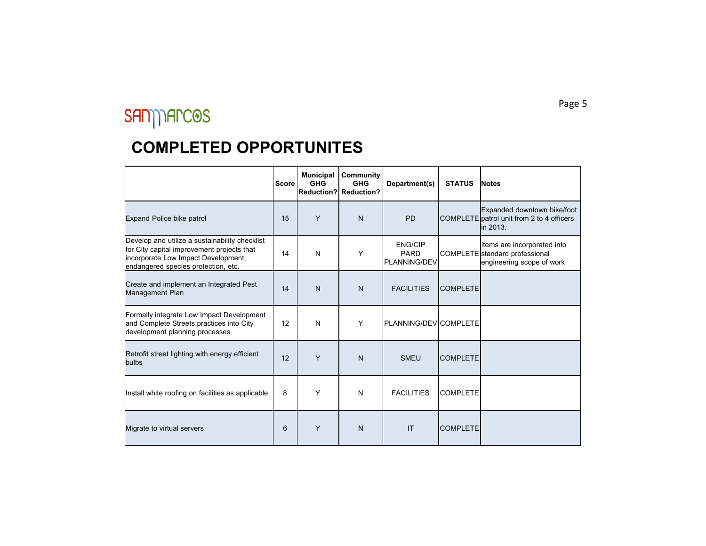#### **COMPLETED OPPORTUNITES**

|                                                                                                                                                                            | <b>Score</b> | <b>Municipal</b><br><b>GHG</b> | Community<br><b>GHG</b><br>Reduction? Reduction? | Department(s)                                        | <b>STATUS</b>   | <b>Notes</b>                                                                               |
|----------------------------------------------------------------------------------------------------------------------------------------------------------------------------|--------------|--------------------------------|--------------------------------------------------|------------------------------------------------------|-----------------|--------------------------------------------------------------------------------------------|
| Expand Police bike patrol                                                                                                                                                  | 15           | Y                              | N                                                | <b>PD</b>                                            |                 | Expanded downtown bike/foot<br>COMPLETE patrol unit from 2 to 4 officers<br>in 2013.       |
| Develop and utilize a sustainability checklist<br>for City capital improvement projects that<br>incorporate Low Impact Development,<br>endangered species protection, etc. | 14           | N                              | Y                                                | <b>ENG/CIP</b><br><b>PARD</b><br><b>PLANNING/DEV</b> |                 | Items are incorporated into<br>COMPLETE standard professional<br>engineering scope of work |
| Create and implement an Integrated Pest<br>Management Plan                                                                                                                 | 14           | $\mathsf{N}$                   | N                                                | <b>FACILITIES</b>                                    | <b>COMPLETE</b> |                                                                                            |
| Formally integrate Low Impact Development<br>and Complete Streets practices into City<br>development planning processes                                                    | 12           | N                              | Y                                                | PLANNING/DEVICOMPLETE                                |                 |                                                                                            |
| Retrofit street lighting with energy efficient<br>bulbs                                                                                                                    | 12           | Y                              | N                                                | <b>SMEU</b>                                          | <b>COMPLETE</b> |                                                                                            |
| Install white roofing on facilities as applicable                                                                                                                          | 8            | Y                              | N                                                | <b>FACILITIES</b>                                    | <b>COMPLETE</b> |                                                                                            |
| Migrate to virtual servers                                                                                                                                                 | 6            | Y                              | N                                                | IT                                                   | <b>COMPLETE</b> |                                                                                            |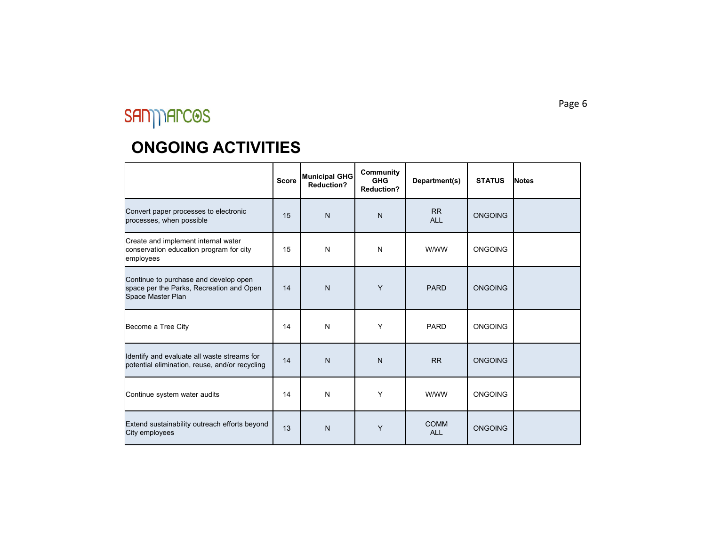## SAN) AFCOS

|                                                                                                        | <b>Score</b> | Municipal GHG<br><b>Reduction?</b> | Community<br><b>GHG</b><br><b>Reduction?</b> | Department(s)             | <b>STATUS</b>  | <b>Notes</b> |
|--------------------------------------------------------------------------------------------------------|--------------|------------------------------------|----------------------------------------------|---------------------------|----------------|--------------|
| Convert paper processes to electronic<br>processes, when possible                                      | 15           | $\mathsf{N}$                       | $\mathsf{N}$                                 | <b>RR</b><br><b>ALL</b>   | <b>ONGOING</b> |              |
| Create and implement internal water<br>conservation education program for city<br>employees            | 15           | $\mathsf{N}$                       | N                                            | W/WW                      | <b>ONGOING</b> |              |
| Continue to purchase and develop open<br>space per the Parks, Recreation and Open<br>Space Master Plan | 14           | $\mathsf{N}$                       | Y                                            | <b>PARD</b>               | <b>ONGOING</b> |              |
| Become a Tree City                                                                                     | 14           | N                                  | Y                                            | <b>PARD</b>               | <b>ONGOING</b> |              |
| Identify and evaluate all waste streams for<br>potential elimination, reuse, and/or recycling          | 14           | $\mathsf{N}$                       | $\mathsf{N}$                                 | <b>RR</b>                 | <b>ONGOING</b> |              |
| Continue system water audits                                                                           | 14           | N                                  | Y                                            | W/WW                      | <b>ONGOING</b> |              |
| Extend sustainability outreach efforts beyond<br>City employees                                        | 13           | $\mathsf{N}$                       | Y                                            | <b>COMM</b><br><b>ALL</b> | <b>ONGOING</b> |              |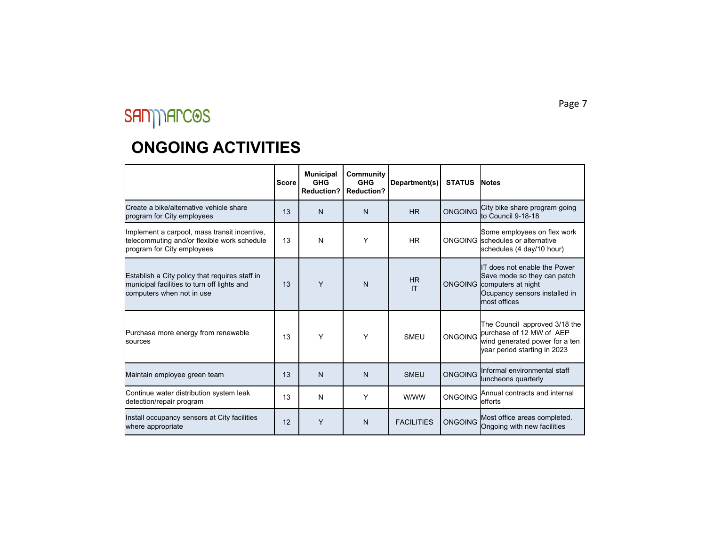|                                                                                                                            | <b>Score</b> | <b>Municipal</b><br><b>GHG</b><br><b>Reduction?</b> | Community<br><b>GHG</b><br><b>Reduction?</b> | Department(s)     | <b>STATUS</b>  | <b>Notes</b>                                                                                                                       |
|----------------------------------------------------------------------------------------------------------------------------|--------------|-----------------------------------------------------|----------------------------------------------|-------------------|----------------|------------------------------------------------------------------------------------------------------------------------------------|
| <b>l</b> Create a bike/alternative vehicle share<br>program for City employees                                             | 13           | N                                                   | N                                            | <b>HR</b>         | <b>ONGOING</b> | City bike share program going<br>to Council 9-18-18                                                                                |
| Implement a carpool, mass transit incentive,<br>telecommuting and/or flexible work schedule<br>program for City employees  | 13           | N                                                   | Υ                                            | <b>HR</b>         |                | Some employees on flex work<br>ONGOING Schedules or alternative<br>schedules (4 day/10 hour)                                       |
| Establish a City policy that requires staff in<br>municipal facilities to turn off lights and<br>computers when not in use | 13           | Y                                                   | N                                            | <b>HR</b><br>IT   | <b>ONGOING</b> | IT does not enable the Power<br>Save mode so they can patch<br>computers at night<br>Ocupancy sensors installed in<br>most offices |
| Purchase more energy from renewable<br><b>I</b> sources                                                                    | 13           | Υ                                                   | Υ                                            | SMFU              | ONGOING        | The Council approved 3/18 the<br>burchase of 12 MW of AEP<br>wind generated power for a ten<br>year period starting in 2023        |
| Maintain employee green team                                                                                               | 13           | N                                                   | N                                            | <b>SMEU</b>       | <b>ONGOING</b> | Informal environmental staff<br>luncheons quarterly                                                                                |
| Continue water distribution system leak<br>detection/repair program                                                        | 13           | N                                                   | Y                                            | W/WW              | <b>ONGOING</b> | Annual contracts and internal<br>lefforts                                                                                          |
| Install occupancy sensors at City facilities<br>where appropriate                                                          | 12           | Y                                                   | N                                            | <b>FACILITIES</b> | <b>ONGOING</b> | Most office areas completed.<br>Ongoing with new facilities                                                                        |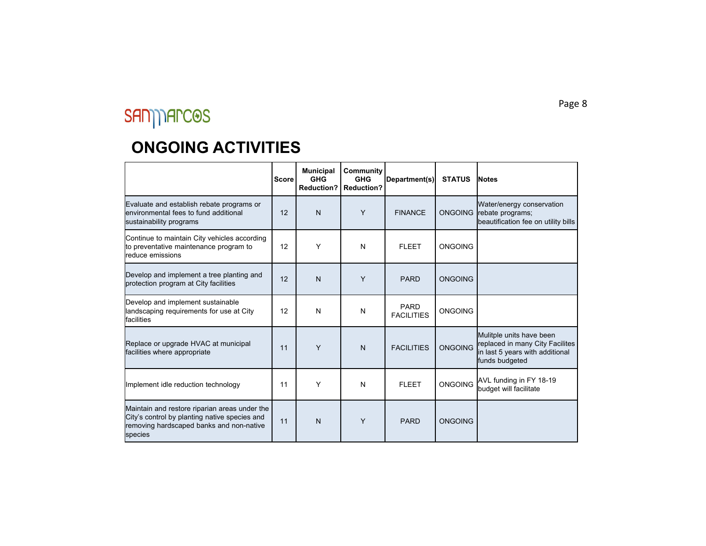|                                                                                                                                                       | <b>Score</b> | <b>Municipal</b><br><b>GHG</b><br><b>Reduction?</b> | <b>Community</b><br><b>GHG</b><br><b>Reduction?</b> | Department(s)                    | <b>STATUS</b>  | <b>Notes</b>                                                                                                     |
|-------------------------------------------------------------------------------------------------------------------------------------------------------|--------------|-----------------------------------------------------|-----------------------------------------------------|----------------------------------|----------------|------------------------------------------------------------------------------------------------------------------|
| Evaluate and establish rebate programs or<br>lenvironmental fees to fund additional<br>sustainability programs                                        | 12           | N                                                   | Y                                                   | <b>FINANCE</b>                   | <b>ONGOING</b> | Water/energy conservation<br>rebate programs;<br>beautification fee on utility bills                             |
| Continue to maintain City vehicles according<br>to preventative maintenance program to<br><b>I</b> reduce emissions                                   | 12           | Y                                                   | N                                                   | <b>FLEET</b>                     | <b>ONGOING</b> |                                                                                                                  |
| Develop and implement a tree planting and<br>protection program at City facilities                                                                    | 12           | N                                                   | Y                                                   | <b>PARD</b>                      | <b>ONGOING</b> |                                                                                                                  |
| Develop and implement sustainable<br>landscaping requirements for use at City<br>lfacilities                                                          | 12           | N                                                   | N                                                   | <b>PARD</b><br><b>FACILITIES</b> | <b>ONGOING</b> |                                                                                                                  |
| Replace or upgrade HVAC at municipal<br>facilities where appropriate                                                                                  | 11           | Y                                                   | $\mathsf{N}$                                        | <b>FACILITIES</b>                | <b>ONGOING</b> | Mulitple units have been<br>replaced in many City Facilites<br>in last 5 years with additional<br>funds budgeted |
| Implement idle reduction technology                                                                                                                   | 11           | Y                                                   | N                                                   | <b>FLEET</b>                     | <b>ONGOING</b> | AVL funding in FY 18-19<br>budget will facilitate                                                                |
| Maintain and restore riparian areas under the<br>City's control by planting native species and<br>removing hardscaped banks and non-native<br>species | 11           | N                                                   | Y                                                   | <b>PARD</b>                      | <b>ONGOING</b> |                                                                                                                  |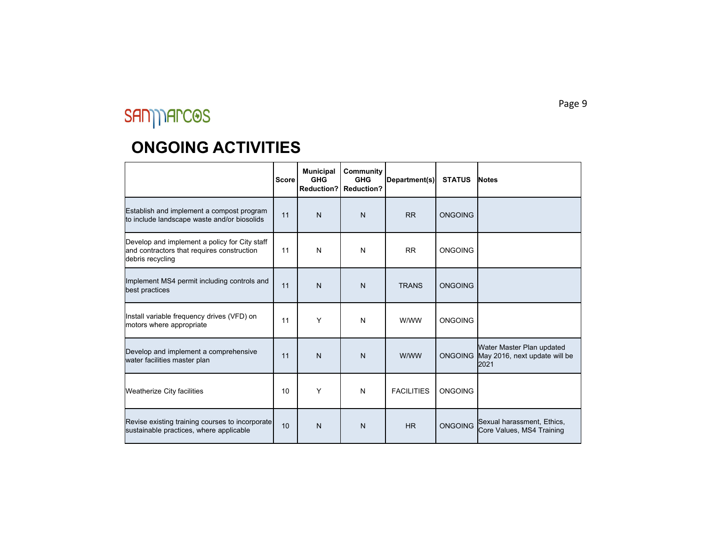|                                                                                                                 | <b>Score</b> | <b>Municipal</b><br><b>GHG</b><br><b>Reduction?</b> | Community<br><b>GHG</b><br><b>Reduction?</b> | Department(s)     | <b>STATUS</b>  | <b>Notes</b>                                                       |
|-----------------------------------------------------------------------------------------------------------------|--------------|-----------------------------------------------------|----------------------------------------------|-------------------|----------------|--------------------------------------------------------------------|
| Establish and implement a compost program<br>to include landscape waste and/or biosolids                        | 11           | N                                                   | N                                            | <b>RR</b>         | <b>ONGOING</b> |                                                                    |
| Develop and implement a policy for City staff<br>and contractors that requires construction<br>debris recycling | 11           | N                                                   | N                                            | <b>RR</b>         | <b>ONGOING</b> |                                                                    |
| Implement MS4 permit including controls and<br>best practices                                                   | 11           | N                                                   | $\mathsf{N}$                                 | <b>TRANS</b>      | <b>ONGOING</b> |                                                                    |
| Install variable frequency drives (VFD) on<br>motors where appropriate                                          | 11           | Υ                                                   | N                                            | W/WW              | <b>ONGOING</b> |                                                                    |
| Develop and implement a comprehensive<br>water facilities master plan                                           | 11           | N                                                   | N                                            | W/WW              | <b>ONGOING</b> | Water Master Plan updated<br>May 2016, next update will be<br>2021 |
| Weatherize City facilities                                                                                      | 10           | Y                                                   | N                                            | <b>FACILITIES</b> | <b>ONGOING</b> |                                                                    |
| Revise existing training courses to incorporate<br>sustainable practices, where applicable                      | 10           | N                                                   | N                                            | <b>HR</b>         | <b>ONGOING</b> | Sexual harassment, Ethics,<br>Core Values, MS4 Training            |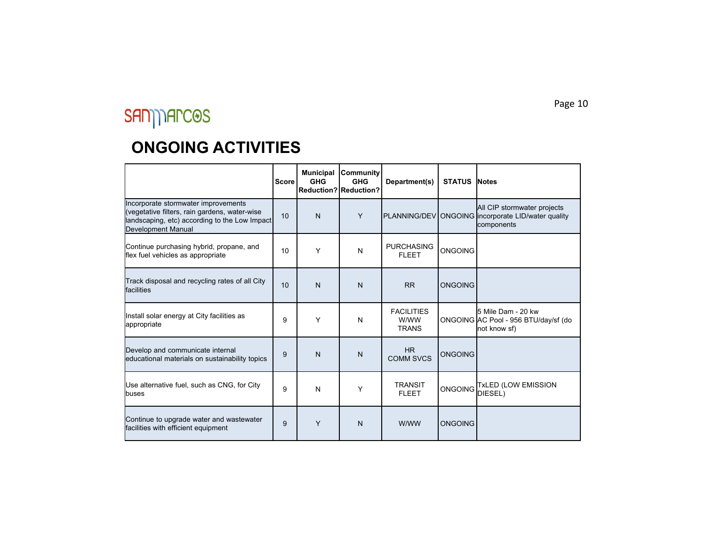|                                                                                                                                                             | <b>Score</b> | <b>Municipal</b><br><b>GHG</b> | Community<br><b>GHG</b><br>Reduction? Reduction? | Department(s)                             | <b>STATUS INotes</b> |                                                                                                 |
|-------------------------------------------------------------------------------------------------------------------------------------------------------------|--------------|--------------------------------|--------------------------------------------------|-------------------------------------------|----------------------|-------------------------------------------------------------------------------------------------|
| Incorporate stormwater improvements<br>(vegetative filters, rain gardens, water-wise<br>landscaping, etc) according to the Low Impact<br>Development Manual | 10           | N                              | Y                                                |                                           |                      | All CIP stormwater projects<br>PLANNING/DEV ONGOING incorporate LID/water quality<br>components |
| Continue purchasing hybrid, propane, and<br>flex fuel vehicles as appropriate                                                                               | 10           | Y                              | N                                                | <b>PURCHASING</b><br><b>FLEET</b>         | <b>ONGOING</b>       |                                                                                                 |
| Track disposal and recycling rates of all City<br>facilities                                                                                                | 10           | N                              | N                                                | <b>RR</b>                                 | <b>ONGOING</b>       |                                                                                                 |
| Install solar energy at City facilities as<br>appropriate                                                                                                   | 9            | Υ                              | N                                                | <b>FACILITIES</b><br>W/WW<br><b>TRANS</b> |                      | 5 Mile Dam - 20 kw<br>ONGOING AC Pool - 956 BTU/day/sf (do<br>not know sf)                      |
| Develop and communicate internal<br>educational materials on sustainability topics                                                                          | 9            | N                              | N                                                | HR.<br><b>COMM SVCS</b>                   | <b>ONGOING</b>       |                                                                                                 |
| Use alternative fuel, such as CNG, for City<br>lbuses                                                                                                       | 9            | N                              | Y                                                | <b>TRANSIT</b><br><b>FLEET</b>            | <b>ONGOING</b>       | <b>TxLED (LOW EMISSION</b><br>DIESEL)                                                           |
| Continue to upgrade water and wastewater<br>facilities with efficient equipment                                                                             | 9            | Y                              | N                                                | W/WW                                      | <b>ONGOING</b>       |                                                                                                 |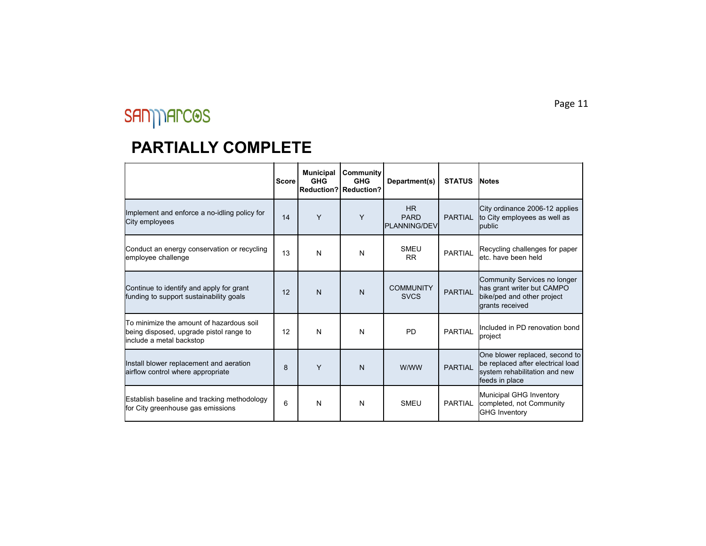#### **PARTIALLY COMPLETE**

|                                                                                                                        | <b>Score</b> | <b>Municipal</b><br><b>GHG</b> | Community<br><b>GHG</b><br><b>Reduction? Reduction?</b> | Department(s)                             | <b>STATUS</b>  | <b>Notes</b>                                                                                                           |
|------------------------------------------------------------------------------------------------------------------------|--------------|--------------------------------|---------------------------------------------------------|-------------------------------------------|----------------|------------------------------------------------------------------------------------------------------------------------|
| Implement and enforce a no-idling policy for<br>City employees                                                         | 14           | Y                              | Y                                                       | HR.<br><b>PARD</b><br><b>PLANNING/DEV</b> | <b>PARTIAL</b> | City ordinance 2006-12 applies<br>to City employees as well as<br>public                                               |
| Conduct an energy conservation or recycling<br>employee challenge                                                      | 13           | N                              | N                                                       | <b>SMEU</b><br><b>RR</b>                  | <b>PARTIAL</b> | Recycling challenges for paper<br>letc, have been held                                                                 |
| Continue to identify and apply for grant<br>funding to support sustainability goals                                    | 12           | $\mathsf{N}$                   | N                                                       | <b>COMMUNITY</b><br><b>SVCS</b>           | <b>PARTIAL</b> | Community Services no longer<br>has grant writer but CAMPO<br>bike/ped and other project<br>drants received            |
| <b>To minimize the amount of hazardous soil</b><br>being disposed, upgrade pistol range to<br>include a metal backstop | 12           | N                              | N                                                       | <b>PD</b>                                 | PARTIAL        | Included in PD renovation bond<br>project                                                                              |
| Install blower replacement and aeration<br>airflow control where appropriate                                           | 8            | Y                              | N                                                       | W/WW                                      | <b>PARTIAL</b> | One blower replaced, second to<br>be replaced after electrical load<br>system rehabilitation and new<br>feeds in place |
| Establish baseline and tracking methodology<br>for City greenhouse gas emissions                                       | 6            | N                              | N                                                       | <b>SMEU</b>                               | <b>PARTIAL</b> | Municipal GHG Inventory<br>completed, not Community<br><b>GHG Inventory</b>                                            |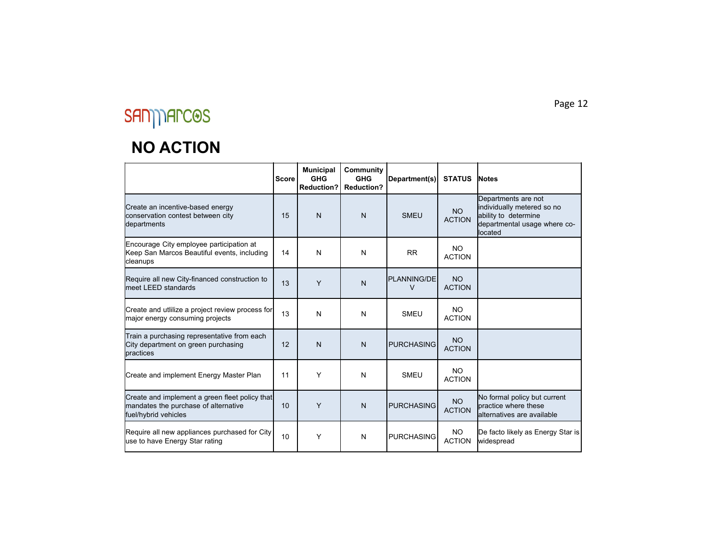# $S \textit{A} \textit{A} \textit{A} \textit{A} \textit{A} \textit{B} \textit{C} \textit{B} \textit{S}$

#### **NO ACTION**

|                                                                                                                | <b>Score</b> | <b>Municipal</b><br><b>GHG</b><br><b>Reduction?</b> | Community<br><b>GHG</b><br><b>Reduction?</b> | Department(s)           | <b>STATUS</b>              | <b>Notes</b>                                                                                                         |
|----------------------------------------------------------------------------------------------------------------|--------------|-----------------------------------------------------|----------------------------------------------|-------------------------|----------------------------|----------------------------------------------------------------------------------------------------------------------|
| Create an incentive-based energy<br>conservation contest between city<br>departments                           | 15           | $\mathsf{N}$                                        | N                                            | <b>SMEU</b>             | <b>NO</b><br><b>ACTION</b> | Departments are not<br>individually metered so no<br>ability to determine<br>departmental usage where co-<br>located |
| Encourage City employee participation at<br>Keep San Marcos Beautiful events, including<br>cleanups            | 14           | N                                                   | N                                            | <b>RR</b>               | NO.<br><b>ACTION</b>       |                                                                                                                      |
| Require all new City-financed construction to<br>meet LEED standards                                           | 13           | Y                                                   | $\mathsf{N}$                                 | <b>PLANNING/DE</b><br>V | <b>NO</b><br><b>ACTION</b> |                                                                                                                      |
| Create and utilize a project review process for<br>major energy consuming projects                             | 13           | N                                                   | N                                            | <b>SMEU</b>             | NO.<br><b>ACTION</b>       |                                                                                                                      |
| Train a purchasing representative from each<br>City department on green purchasing<br>practices                | 12           | $\mathsf{N}$                                        | $\mathsf{N}$                                 | <b>PURCHASING</b>       | <b>NO</b><br><b>ACTION</b> |                                                                                                                      |
| Create and implement Energy Master Plan                                                                        | 11           | Y                                                   | N                                            | <b>SMEU</b>             | <b>NO</b><br><b>ACTION</b> |                                                                                                                      |
| Create and implement a green fleet policy that<br>mandates the purchase of alternative<br>fuel/hybrid vehicles | 10           | Y                                                   | $\mathsf{N}$                                 | <b>PURCHASING</b>       | <b>NO</b><br><b>ACTION</b> | No formal policy but current<br>practice where these<br><b>l</b> alternatives are available                          |
| Require all new appliances purchased for City<br>use to have Energy Star rating                                | 10           | Y                                                   | N                                            | <b>PURCHASING</b>       | <b>NO</b><br><b>ACTION</b> | De facto likely as Energy Star is<br>widespread                                                                      |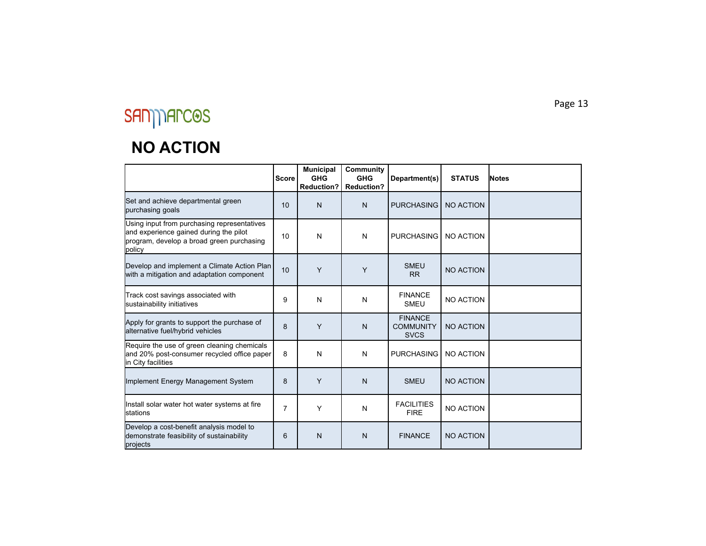# $S \textit{A} \textit{A} \textit{A} \textit{A} \textit{A} \textit{C} \textit{A} \textit{S}$

#### **NO ACTION**

|                                                                                                                                              | <b>Score</b>   | <b>Municipal</b><br><b>GHG</b><br><b>Reduction?</b> | Community<br><b>GHG</b><br><b>Reduction?</b> | Department(s)                                     | <b>STATUS</b>    | <b>Notes</b> |
|----------------------------------------------------------------------------------------------------------------------------------------------|----------------|-----------------------------------------------------|----------------------------------------------|---------------------------------------------------|------------------|--------------|
| Set and achieve departmental green<br>purchasing goals                                                                                       | 10             | N                                                   | $\mathsf{N}$                                 | <b>PURCHASING</b>                                 | <b>NO ACTION</b> |              |
| Using input from purchasing representatives<br>and experience gained during the pilot<br>program, develop a broad green purchasing<br>policy | 10             | Ν                                                   | N                                            | <b>PURCHASING</b>                                 | NO ACTION        |              |
| Develop and implement a Climate Action Plan<br>with a mitigation and adaptation component                                                    | 10             | Y                                                   | Y                                            | <b>SMEU</b><br><b>RR</b>                          | <b>NO ACTION</b> |              |
| Track cost savings associated with<br>sustainability initiatives                                                                             | 9              | Ν                                                   | N                                            | <b>FINANCE</b><br><b>SMEU</b>                     | NO ACTION        |              |
| Apply for grants to support the purchase of<br>alternative fuel/hybrid vehicles                                                              | 8              | Y                                                   | $\mathsf{N}$                                 | <b>FINANCE</b><br><b>COMMUNITY</b><br><b>SVCS</b> | <b>NO ACTION</b> |              |
| Require the use of green cleaning chemicals<br>and 20% post-consumer recycled office paper<br>In City facilities                             | 8              | N                                                   | N                                            | <b>PURCHASING</b>                                 | <b>NO ACTION</b> |              |
| Implement Energy Management System                                                                                                           | 8              | Y                                                   | $\mathsf{N}$                                 | <b>SMEU</b>                                       | NO ACTION        |              |
| Install solar water hot water systems at fire<br><b>I</b> stations                                                                           | $\overline{7}$ | Υ                                                   | N                                            | <b>FACILITIES</b><br><b>FIRE</b>                  | <b>NO ACTION</b> |              |
| Develop a cost-benefit analysis model to<br>demonstrate feasibility of sustainability<br>projects                                            | 6              | N                                                   | N                                            | <b>FINANCE</b>                                    | <b>NO ACTION</b> |              |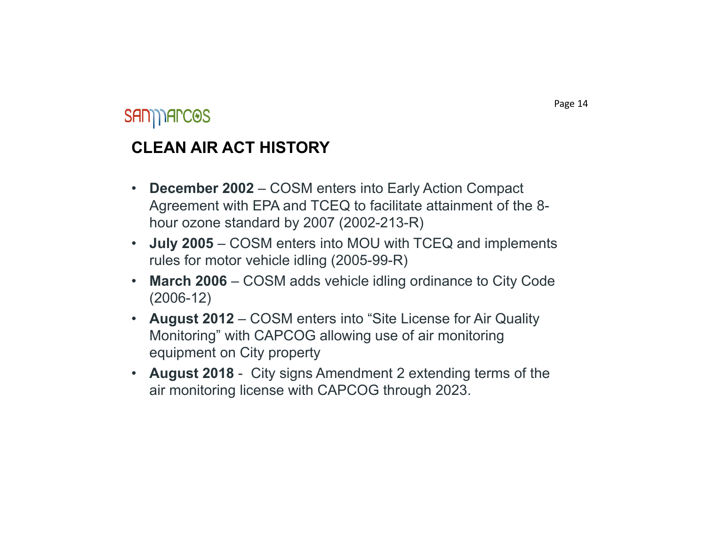### **SAN) TARCOS**

#### **CLEAN AIR ACT HISTORY**

- • **December 2002** – COSM enters into Early Action Compact Agreement with EPA and TCEQ to facilitate attainment of the 8 hour ozone standard by 2007 (2002-213-R)
- • **July 2005** – COSM enters into MOU with TCEQ and implements rules for motor vehicle idling (2005-99-R)
- • **March 2006** – COSM adds vehicle idling ordinance to City Code (2006-12)
- **August 2012**  COSM enters into "Site License for Air Quality Monitoring" with CAPCOG allowing use of air monitoring equipment on City property
- **August 2018**  City signs Amendment 2 extending terms of the air monitoring license with CAPCOG through 2023.